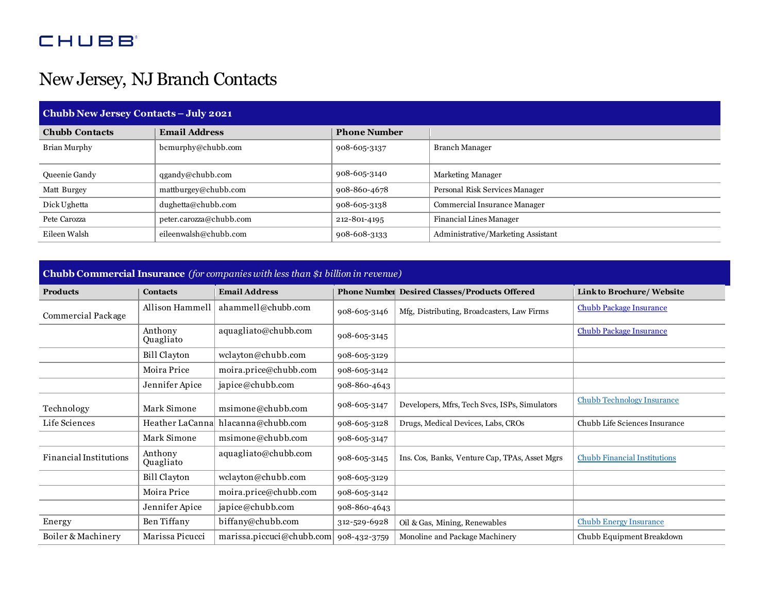## **CHUBB**

## New Jersey, NJ Branch Contacts

| Chubb New Jersey Contacts - July 2021 |                         |                     |                                    |  |  |  |
|---------------------------------------|-------------------------|---------------------|------------------------------------|--|--|--|
| <b>Chubb Contacts</b>                 | <b>Email Address</b>    | <b>Phone Number</b> |                                    |  |  |  |
| Brian Murphy                          | bcmurphy@chubb.com      | 908-605-3137        | Branch Manager                     |  |  |  |
| Queenie Gandy                         | $q$ gandy@chubb.com     | 908-605-3140        | Marketing Manager                  |  |  |  |
| Matt Burgey                           | mattburgey@chubb.com    | 908-860-4678        | Personal Risk Services Manager     |  |  |  |
| Dick Ughetta                          | dughetta@chubb.com      | 908-605-3138        | Commercial Insurance Manager       |  |  |  |
| Pete Carozza                          | peter.carozza@chubb.com | 212-801-4195        | Financial Lines Manager            |  |  |  |
| Eileen Walsh                          | eileenwalsh@chubb.com   | 908-608-3133        | Administrative/Marketing Assistant |  |  |  |

## **Chubb Commercial Insurance** *(for companies with less than \$1 billion in revenue)*

| <b>Products</b>        | <b>Contacts</b>      | <b>Email Address</b>      |              | Phone Number Desired Classes/Products Offered  | Linkto Brochure/ Website            |
|------------------------|----------------------|---------------------------|--------------|------------------------------------------------|-------------------------------------|
| Commercial Package     | Allison Hammell      | ahammell@chubb.com        | 908-605-3146 | Mfg, Distributing, Broadcasters, Law Firms     | <b>Chubb Package Insurance</b>      |
|                        | Anthony<br>Quagliato | aquagliato@chubb.com      | 908-605-3145 |                                                | Chubb Package Insurance             |
|                        | Bill Clayton         | wclayton@chubb.com        | 908-605-3129 |                                                |                                     |
|                        | Moira Price          | moira.price@chubb.com     | 908-605-3142 |                                                |                                     |
|                        | Jennifer Apice       | japice@chubb.com          | 908-860-4643 |                                                |                                     |
| Technology             | Mark Simone          | msimone@chubb.com         | 908-605-3147 | Developers, Mfrs, Tech Svcs, ISPs, Simulators  | <b>Chubb Technology Insurance</b>   |
| Life Sciences          | Heather LaCanna      | hlacanna@chubb.com        | 908-605-3128 | Drugs, Medical Devices, Labs, CROs             | Chubb Life Sciences Insurance       |
|                        | Mark Simone          | msimone@chubb.com         | 908-605-3147 |                                                |                                     |
| Financial Institutions | Anthony<br>Quagliato | aquagliato@chubb.com      | 908-605-3145 | Ins. Cos, Banks, Venture Cap, TPAs, Asset Mgrs | <b>Chubb Financial Institutions</b> |
|                        | Bill Clayton         | wclayton@chubb.com        | 908-605-3129 |                                                |                                     |
|                        | Moira Price          | moira.price@chubb.com     | 908-605-3142 |                                                |                                     |
|                        | Jennifer Apice       | japice@chubb.com          | 908-860-4643 |                                                |                                     |
| Energy                 | Ben Tiffany          | biffany@chubb.com         | 312-529-6928 | Oil & Gas, Mining, Renewables                  | <b>Chubb Energy Insurance</b>       |
| Boiler & Machinery     | Marissa Picucci      | marissa.piccuci@chubb.com | 908-432-3759 | Monoline and Package Machinery                 | Chubb Equipment Breakdown           |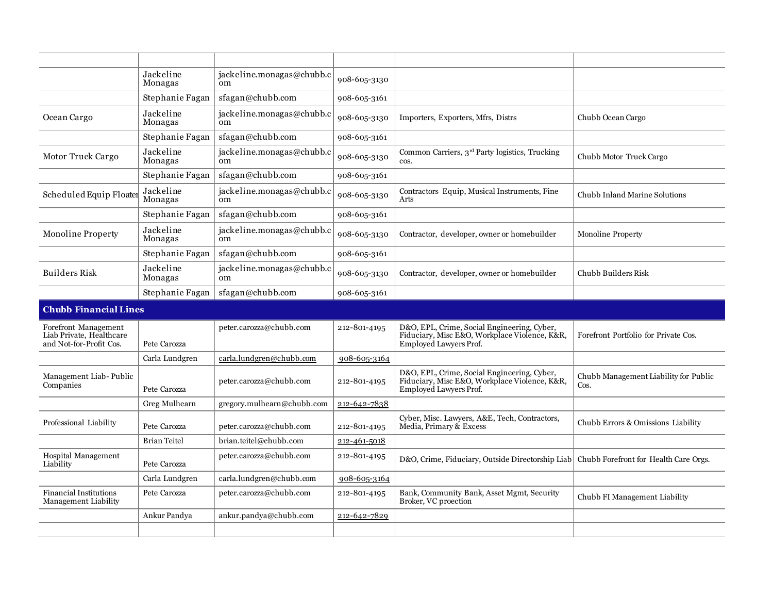|                                                                             | Jackeline<br>Monagas         | jackeline.monagas@chubb.c<br><sub>om</sub> | 908-605-3130 |                                                                                                                               |                                               |  |  |
|-----------------------------------------------------------------------------|------------------------------|--------------------------------------------|--------------|-------------------------------------------------------------------------------------------------------------------------------|-----------------------------------------------|--|--|
|                                                                             | Stephanie Fagan              | sfagan@chubb.com                           | 908-605-3161 |                                                                                                                               |                                               |  |  |
| Ocean Cargo                                                                 | Jackeline<br>Monagas         | jackeline.monagas@chubb.c<br><sub>om</sub> | 908-605-3130 | Importers, Exporters, Mfrs, Distrs                                                                                            | Chubb Ocean Cargo                             |  |  |
|                                                                             | Stephanie Fagan              | sfagan@chubb.com                           | 908-605-3161 |                                                                                                                               |                                               |  |  |
| Motor Truck Cargo                                                           | Jackeline<br>Monagas         | jackeline.monagas@chubb.c<br><sub>om</sub> | 908-605-3130 | Common Carriers, 3 <sup>rd</sup> Party logistics, Trucking<br>cos.                                                            | Chubb Motor Truck Cargo                       |  |  |
|                                                                             | Stephanie Fagan              | sfagan@chubb.com                           | 908-605-3161 |                                                                                                                               |                                               |  |  |
| Scheduled Equip Floater                                                     | Jackeline<br>Monagas         | jackeline.monagas@chubb.c<br><sub>om</sub> | 908-605-3130 | Contractors Equip, Musical Instruments, Fine<br>Arts                                                                          | Chubb Inland Marine Solutions                 |  |  |
|                                                                             | Stephanie Fagan              | sfagan@chubb.com                           | 908-605-3161 |                                                                                                                               |                                               |  |  |
| Monoline Property                                                           | Jackeline<br>Monagas         | jackeline.monagas@chubb.c<br><sub>om</sub> | 908-605-3130 | Contractor, developer, owner or homebuilder                                                                                   | <b>Monoline Property</b>                      |  |  |
|                                                                             | Stephanie Fagan              | sfagan@chubb.com                           | 908-605-3161 |                                                                                                                               |                                               |  |  |
| Builders Risk                                                               | Jackeline<br>Monagas         | jackeline.monagas@chubb.c<br>om            | 908-605-3130 | Contractor, developer, owner or homebuilder                                                                                   | Chubb Builders Risk                           |  |  |
|                                                                             | Stephanie Fagan              | sfagan@chubb.com                           | 908-605-3161 |                                                                                                                               |                                               |  |  |
|                                                                             | <b>Chubb Financial Lines</b> |                                            |              |                                                                                                                               |                                               |  |  |
| Forefront Management<br>Liab Private, Healthcare<br>and Not-for-Profit Cos. | Pete Carozza                 | peter.carozza@chubb.com                    | 212-801-4195 | D&O, EPL, Crime, Social Engineering, Cyber,<br>Fiduciary, Misc E&O, Workplace Violence, K&R,<br><b>Employed Lawyers Prof.</b> | Forefront Portfolio for Private Cos.          |  |  |
|                                                                             | Carla Lundgren               | carla.lundgren@chubb.com                   | 908-605-3164 |                                                                                                                               |                                               |  |  |
| Management Liab-Public<br>Companies                                         | Pete Carozza                 | peter.carozza@chubb.com                    | 212-801-4195 | D&O, EPL, Crime, Social Engineering, Cyber,<br>Fiduciary, Misc E&O, Workplace Violence, K&R,<br><b>Employed Lawyers Prof.</b> | Chubb Management Liability for Public<br>Cos. |  |  |
|                                                                             | Greg Mulhearn                | gregory.mulhearn@chubb.com                 | 212-642-7838 |                                                                                                                               |                                               |  |  |
| Professional Liability                                                      | Pete Carozza                 | peter.carozza@chubb.com                    | 212-801-4195 | Cyber, Misc. Lawyers, A&E, Tech, Contractors,<br>Media, Primary & Excess                                                      | Chubb Errors & Omissions Liability            |  |  |
|                                                                             | <b>Brian Teitel</b>          | brian.teitel@chubb.com                     | 212-461-5018 |                                                                                                                               |                                               |  |  |
| <b>Hospital Management</b><br>Liability                                     | Pete Carozza                 | peter.carozza@chubb.com                    | 212-801-4195 | D&O, Crime, Fiduciary, Outside Directorship Liab                                                                              | Chubb Forefront for Health Care Orgs.         |  |  |
|                                                                             | Carla Lundgren               | carla.lundgren@chubb.com                   | 908-605-3164 |                                                                                                                               |                                               |  |  |
| <b>Financial Institutions</b><br>Management Liability                       | Pete Carozza                 | peter.carozza@chubb.com                    | 212-801-4195 | Bank, Community Bank, Asset Mgmt, Security<br>Broker, VC proection                                                            | Chubb FI Management Liability                 |  |  |
|                                                                             | Ankur Pandya                 | ankur.pandya@chubb.com                     | 212-642-7829 |                                                                                                                               |                                               |  |  |
|                                                                             |                              |                                            |              |                                                                                                                               |                                               |  |  |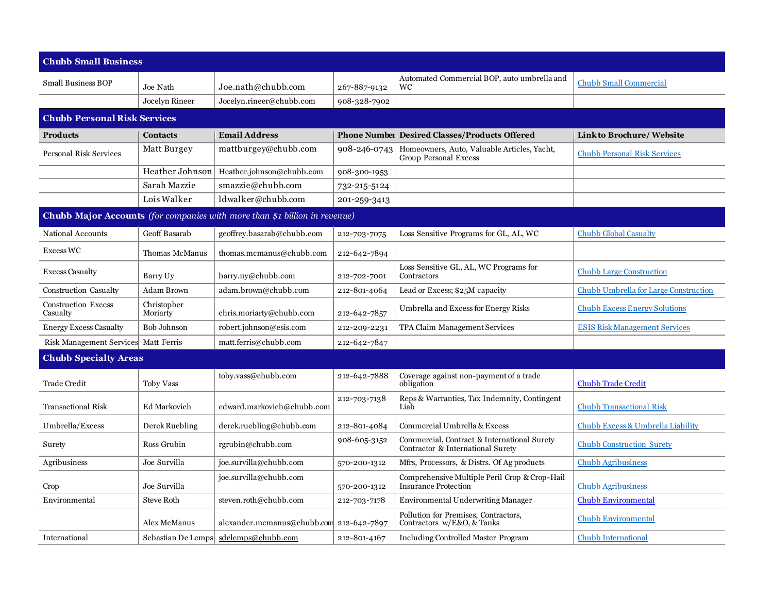| <b>Chubb Small Business</b>         |                         |                                                                                   |              |                                                                                  |                                       |  |
|-------------------------------------|-------------------------|-----------------------------------------------------------------------------------|--------------|----------------------------------------------------------------------------------|---------------------------------------|--|
| <b>Small Business BOP</b>           | Joe Nath                | Joe.nath@chubb.com                                                                | 267-887-9132 | Automated Commercial BOP, auto umbrella and<br><b>WC</b>                         | <b>Chubb Small Commercial</b>         |  |
|                                     | Jocelyn Rineer          | Jocelyn.rineer@chubb.com                                                          | 908-328-7902 |                                                                                  |                                       |  |
| <b>Chubb Personal Risk Services</b> |                         |                                                                                   |              |                                                                                  |                                       |  |
| <b>Products</b>                     | <b>Contacts</b>         | <b>Email Address</b>                                                              |              | <b>Phone Number Desired Classes/Products Offered</b>                             | Link to Brochure/ Website             |  |
| Personal Risk Services              | Matt Burgey             | mattburgey@chubb.com                                                              | 908-246-0743 | Homeowners, Auto, Valuable Articles, Yacht,<br><b>Group Personal Excess</b>      | <b>Chubb Personal Risk Services</b>   |  |
|                                     | Heather Johnson         | Heather.johnson@chubb.com                                                         | 908-300-1953 |                                                                                  |                                       |  |
|                                     | Sarah Mazzie            | smazzie@chubb.com                                                                 | 732-215-5124 |                                                                                  |                                       |  |
|                                     | Lois Walker             | ldwalker@chubb.com                                                                | 201-259-3413 |                                                                                  |                                       |  |
|                                     |                         | <b>Chubb Major Accounts</b> (for companies with more than \$1 billion in revenue) |              |                                                                                  |                                       |  |
| National Accounts                   | Geoff Basarab           | geoffrey.basarab@chubb.com                                                        | 212-703-7075 | Loss Sensitive Programs for GL, AL, WC                                           | <b>Chubb Global Casualty</b>          |  |
| <b>Excess WC</b>                    | <b>Thomas McManus</b>   | thomas.mcmanus@chubb.com                                                          | 212-642-7894 |                                                                                  |                                       |  |
| <b>Excess Casualty</b>              | Barry Uy                | barry.uy@chubb.com                                                                | 212-702-7001 | Loss Sensitive GL, AL, WC Programs for<br>Contractors                            | <b>Chubb Large Construction</b>       |  |
| Construction Casualty               | <b>Adam Brown</b>       | adam.brown@chubb.com                                                              | 212-801-4064 | Lead or Excess; \$25M capacity                                                   | Chubb Umbrella for Large Construction |  |
| Construction Excess<br>Casualty     | Christopher<br>Moriarty | chris.moriarty@chubb.com                                                          | 212-642-7857 | Umbrella and Excess for Energy Risks                                             | <b>Chubb Excess Energy Solutions</b>  |  |
| <b>Energy Excess Casualty</b>       | <b>Bob Johnson</b>      | robert.johnson@esis.com                                                           | 212-209-2231 | TPA Claim Management Services                                                    | <b>ESIS Risk Management Services</b>  |  |
| <b>Risk Management Services</b>     | Matt Ferris             | matt.ferris@chubb.com                                                             | 212-642-7847 |                                                                                  |                                       |  |
| <b>Chubb Specialty Areas</b>        |                         |                                                                                   |              |                                                                                  |                                       |  |
| <b>Trade Credit</b>                 | <b>Toby Vass</b>        | toby.vass@chubb.com                                                               | 212-642-7888 | Coverage against non-payment of a trade<br>obligation                            | <b>Chubb Trade Credit</b>             |  |
| <b>Transactional Risk</b>           | <b>Ed Markovich</b>     | edward.markovich@chubb.com                                                        | 212-703-7138 | Reps & Warranties, Tax Indemnity, Contingent<br>Liab                             | <b>Chubb Transactional Risk</b>       |  |
| Umbrella/Excess                     | Derek Ruebling          | derek.ruebling@chubb.com                                                          | 212-801-4084 | Commercial Umbrella & Excess                                                     | Chubb Excess & Umbrella Liability     |  |
| Surety                              | Ross Grubin             | rgrubin@chubb.com                                                                 | 908-605-3152 | Commercial, Contract & International Surety<br>Contractor & International Surety | <b>Chubb Construction Surety</b>      |  |
| Agribusiness                        | Joe Survilla            | joe.survilla@chubb.com                                                            | 570-200-1312 | Mfrs, Processors, & Distrs. Of Ag products                                       | <b>Chubb Agribusiness</b>             |  |
| Crop                                | Joe Survilla            | joe.survilla@chubb.com                                                            | 570-200-1312 | Comprehensive Multiple Peril Crop & Crop-Hail<br><b>Insurance Protection</b>     | <b>Chubb Agribusiness</b>             |  |
| Environmental                       | <b>Steve Roth</b>       | steven.roth@chubb.com                                                             | 212-703-7178 | <b>Environmental Underwriting Manager</b>                                        | <b>Chubb Environmental</b>            |  |
|                                     | Alex McManus            | alexander.mcmanus@chubb.com 212-642-7897                                          |              | Pollution for Premises, Contractors,<br>Contractors w/E&O, & Tanks               | <b>Chubb Environmental</b>            |  |
| International                       | Sebastian De Lemps      | sdelemps@chubb.com                                                                | 212-801-4167 | <b>Including Controlled Master Program</b>                                       | <b>Chubb International</b>            |  |